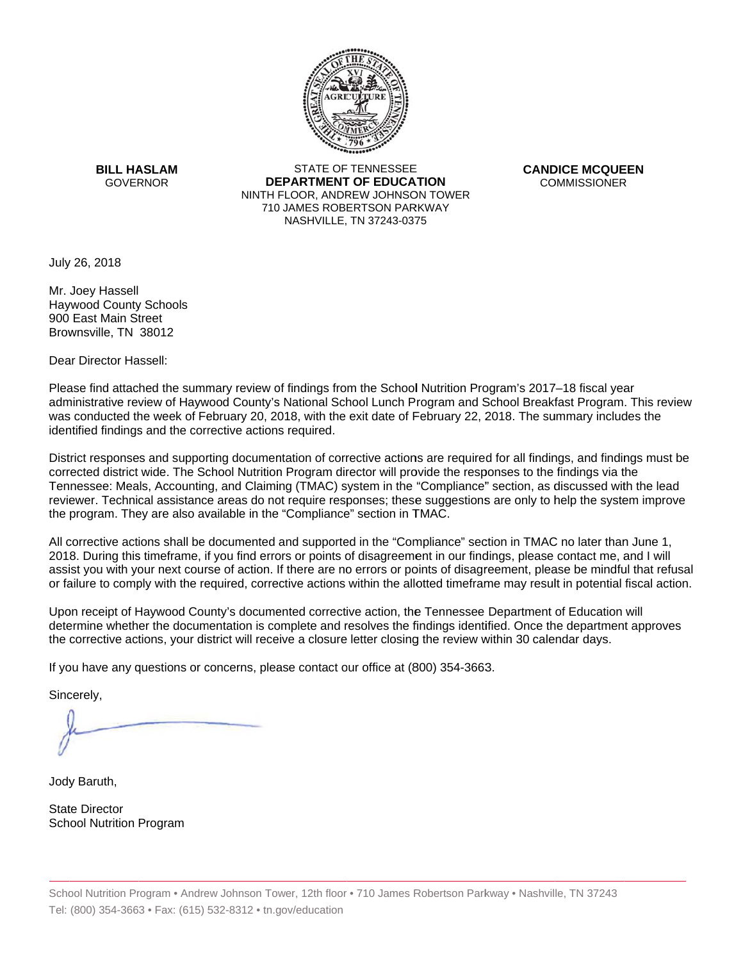

**BILL HASLAM** GOVERNOR **DEI** 

STATE OF TENNESSEE **EPARTMENT OF EDUCATION** NINTH FLOOR, ANDREW JOHNSON TOWER 710 JAMES ROBERTSON PARKWAY NASHVILLE,TN 37243-0375

**CANDICE MCQUEEN** CO OMMISSIONER

July 26, 2018

Mr. Joey Hassell Haywood County Schools 900East Main Street Brownsville, TN 38012

Dear Director Hassell:

Please find attached the summary review of findings from the School Nutrition Program's 2017–18 fiscal year administrative review of Haywood County's National School Lunch Program and School Breakfast Program. This review was conducted the week of February 20, 2018, with the exit date of February 22, 2018. The summary includes the identified findings and the corrective actions required.

Tennessee: Meals, Accounting, and Claiming (TMAC) system in the "Compliance" section, as discussed with the lead District responses and supporting documentation of corrective actions are required for all findings, and findings must be corrected district wide. The School Nutrition Program director will provide the responses to the findings via the reviewer. Technical assistance areas do not require responses; these suggestions are only to help the system improve the program. They are also available in the "Compliance" section in TMAC.

All corrective actions shall be documented and supported in the "Compliance" section in TMAC no later than June 1, 2018. During this timeframe, if you find errors or points of disagreement in our findings, please contact me, and I will assist you with your next course of action. If there are no errors or points of disagreement, please be mindful that refusal or failure to comply with the required, corrective actions within the allotted timeframe may result in potential fiscal action.

Upon receipt of Haywood County's documented corrective action, the Tennessee Department of Education will determine whether the documentation is complete and resolves the findings identified. Once the department approves the corrective actions, your district will receive a closure letter closing the review within 30 calendar days.

If you have any questions or concerns, please contact our office at (800) 354-3663.

Sincerely,

Jody Baruth,

State Director School Nutrition Program